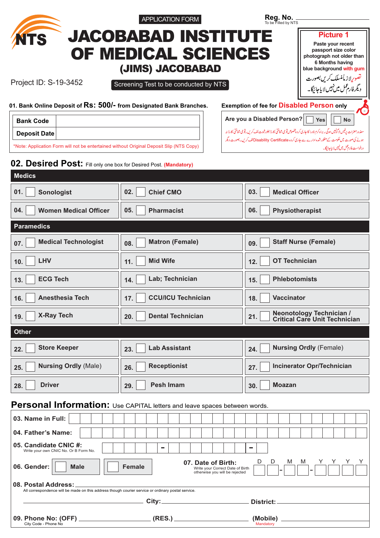|                                                                                                                           | <b>APPLICATION FORM</b>                                                                                   | Reg. No.<br>To be Filled by NTS                                                                                                                      |
|---------------------------------------------------------------------------------------------------------------------------|-----------------------------------------------------------------------------------------------------------|------------------------------------------------------------------------------------------------------------------------------------------------------|
| <b>NTS</b>                                                                                                                | <b>JACOBABAD INSTITUTE</b>                                                                                | <b>Picture 1</b>                                                                                                                                     |
|                                                                                                                           | OF MEDICAL SCIENCES                                                                                       | Paste your recent<br>passport size color<br>photograph not older than                                                                                |
|                                                                                                                           | (JIMS) JACOBABAD                                                                                          | 6 Months having<br>blue background with gum                                                                                                          |
| Project ID: S-19-3452                                                                                                     | Screening Test to be conducted by NTS                                                                     | تصوریااز مأمنسلک کریں بصورت<br>دیگرفار عمل میں نہیں لایاجائیگا۔                                                                                      |
|                                                                                                                           |                                                                                                           |                                                                                                                                                      |
| 01. Bank Online Deposit of RS: 500/- from Designated Bank Branches.                                                       |                                                                                                           | <b>Exemption of fee for Disabled Person only</b><br>Are you a Disabled Person?                                                                       |
| <b>Bank Code</b><br><b>Deposit Date</b>                                                                                   |                                                                                                           | <b>Yes</b><br><b>No</b><br>معذور حضرات رفیس لا گونبیں ہوگی۔ براہ کرم نادرا کا جاری کردہ پخصوص قومی شناختی کارڈ بطور ثبوت لف کریں۔قومی شناختی کارڈ نہ |
| *Note: Application Form will not be entertained without Original Deposit Slip (NTS Copy)                                  |                                                                                                           | ہونے کی صورت میں حکومت کے منظور شدہ ادارے سے جاری کردہ Disability Certificateکالف کریں۔ بصورت دیگر<br>درخواست فارم عمل میں نہیں لایاجائیگا۔          |
| 02. Desired Post: Fill only one box for Desired Post. (Mandatory)                                                         |                                                                                                           |                                                                                                                                                      |
| <b>Medics</b>                                                                                                             |                                                                                                           |                                                                                                                                                      |
| 01.<br><b>Sonologist</b>                                                                                                  | 02.<br><b>Chief CMO</b>                                                                                   | 03.<br><b>Medical Officer</b>                                                                                                                        |
| 04.<br><b>Women Medical Officer</b>                                                                                       | 05.<br><b>Pharmacist</b>                                                                                  | 06.<br>Physiotherapist                                                                                                                               |
| <b>Paramedics</b>                                                                                                         |                                                                                                           |                                                                                                                                                      |
| <b>Medical Technologist</b><br>07.                                                                                        | <b>Matron (Female)</b><br>08.                                                                             | <b>Staff Nurse (Female)</b><br>09.                                                                                                                   |
| <b>LHV</b><br>10.                                                                                                         | <b>Mid Wife</b><br>11.                                                                                    | <b>OT Technician</b><br>12.                                                                                                                          |
| <b>ECG Tech</b><br>13.                                                                                                    | Lab; Technician<br>14.                                                                                    | <b>Phlebotomists</b><br>15.                                                                                                                          |
| <b>Anesthesia Tech</b><br>16.                                                                                             | <b>CCU/ICU Technician</b><br>17.                                                                          | <b>Vaccinator</b><br>18.                                                                                                                             |
| <b>X-Ray Tech</b><br>19.                                                                                                  | <b>Dental Technician</b><br>20.                                                                           | <b>Neonotology Technician /</b><br>21.<br><b>Critical Care Unit Technician</b>                                                                       |
| <b>Other</b>                                                                                                              |                                                                                                           |                                                                                                                                                      |
| <b>Store Keeper</b><br>22.                                                                                                | <b>Lab Assistant</b><br>23.                                                                               | <b>Nursing Ordly (Female)</b><br>24.                                                                                                                 |
| <b>Nursing Ordly (Male)</b><br>25.                                                                                        | <b>Receptionist</b><br>26.                                                                                | <b>Incinerator Opr/Technician</b><br>27.                                                                                                             |
| <b>Driver</b><br>28.                                                                                                      | <b>Pesh Imam</b><br>29.                                                                                   | <b>Moazan</b><br>30.                                                                                                                                 |
|                                                                                                                           | Personal Information: Use CAPITAL letters and leave spaces between words.                                 |                                                                                                                                                      |
| 03. Name in Full:                                                                                                         |                                                                                                           |                                                                                                                                                      |
| 04. Father's Name:                                                                                                        |                                                                                                           |                                                                                                                                                      |
| 05. Candidate CNIC #:<br>Write your own CNIC No. Or B Form No.                                                            |                                                                                                           |                                                                                                                                                      |
| 06. Gender:<br><b>Male</b>                                                                                                | 07. Date of Birth:<br><b>Female</b><br>Write your Correct Date of Birth<br>otherwise you will be rejected | D<br>D<br>M<br>M                                                                                                                                     |
| 08. Postal Address:<br>All correspondence will be made on this address though courier service or ordinary postal service. |                                                                                                           |                                                                                                                                                      |
| <u> 1980 - Jan Stein Berlin, amerikansk politiker (</u>                                                                   |                                                                                                           | District: ___________________                                                                                                                        |
|                                                                                                                           |                                                                                                           |                                                                                                                                                      |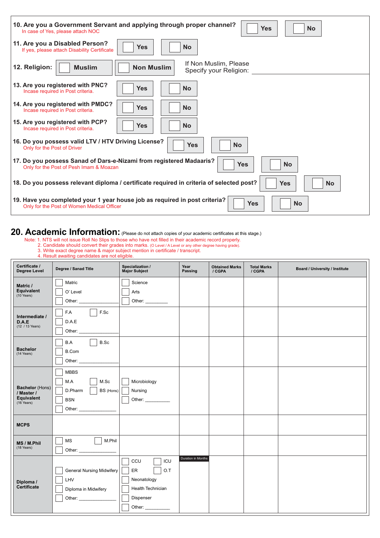| 10. Are you a Government Servant and applying through proper channel?<br><b>Yes</b><br><b>No</b><br>In case of Yes, please attach NOC               |
|-----------------------------------------------------------------------------------------------------------------------------------------------------|
| 11. Are you a Disabled Person?<br><b>No</b><br><b>Yes</b><br>If yes, please attach Disability Certificate                                           |
| If Non Muslim, Please<br>12. Religion:<br><b>Non Muslim</b><br><b>Muslim</b><br>Specify your Religion:                                              |
| 13. Are you registered with PNC?<br><b>No</b><br><b>Yes</b><br>Incase required in Post criteria.                                                    |
| 14. Are you registered with PMDC?<br><b>No</b><br><b>Yes</b><br>Incase required in Post criteria.                                                   |
| 15. Are you registered with PCP?<br><b>Yes</b><br><b>No</b><br>Incase required in Post criteria.                                                    |
| 16. Do you possess valid LTV / HTV Driving License?<br><b>Yes</b><br><b>No</b><br>Only for the Post of Driver                                       |
| 17. Do you possess Sanad of Dars-e-Nizami from registered Madaaris?<br>Yes<br><b>No</b><br>Only for the Post of Pesh Imam & Moazan                  |
| 18. Do you possess relevant diploma / certificate required in criteria of selected post?<br><b>No</b><br><b>Yes</b>                                 |
| 19. Have you completed your 1 year house job as required in post criteria?<br><b>Yes</b><br><b>No</b><br>Only for the Post of Women Medical Officer |

## 20. Academic Information: (Please do not attach copies of your academic certificates at this stage.)

- Note: 1. NTS will not issue Roll No Slips to those who have not filled in their academic record properly.
- 2. Candidate should convert their grades into marks. (O Level / A Level (O Level / A Level or any other degree having grade).
- 3. Write exact degree name & major subject mention in certificate / transcript.
- 4. Result awaiting candidates are not eligible.

| Certificate /<br><b>Degree Level</b>                                       | Degree / Sanad Title                                                                                                                                                                                                                                          | Specialization /<br>Major Subject                                                             | Year<br>Passing    | <b>Obtained Marks</b><br>/ CGPA | <b>Total Marks</b><br>/ CGPA | Board / University / Institute |
|----------------------------------------------------------------------------|---------------------------------------------------------------------------------------------------------------------------------------------------------------------------------------------------------------------------------------------------------------|-----------------------------------------------------------------------------------------------|--------------------|---------------------------------|------------------------------|--------------------------------|
| Matric /<br>Equivalent<br>$(10$ Years)                                     | Matric<br>O' Level                                                                                                                                                                                                                                            | Science<br>Arts<br>Other: ________                                                            |                    |                                 |                              |                                |
| Intermediate /<br>D.A.E<br>(12 / 13 Years)                                 | F.Sc<br>F.A<br>D.A.E                                                                                                                                                                                                                                          |                                                                                               |                    |                                 |                              |                                |
| <b>Bachelor</b><br>(14 Years)                                              | B.Sc<br>B.A<br><b>B.Com</b><br>Other: and the control of the control of the control of the control of the control of the control of the control of the control of the control of the control of the control of the control of the control of the control of t |                                                                                               |                    |                                 |                              |                                |
| <b>Bachelor</b> (Hons)<br>/ Master /<br>Equivalent<br>$(16 \text{ Years})$ | <b>MBBS</b><br>M.Sc<br>M.A<br>D.Pharm<br>BS (Hons)<br><b>BSN</b>                                                                                                                                                                                              | Microbiology<br>Nursing<br>Other: _____________                                               |                    |                                 |                              |                                |
| <b>MCPS</b>                                                                |                                                                                                                                                                                                                                                               |                                                                                               |                    |                                 |                              |                                |
| MS / M.Phil<br>(18 Years)                                                  | M.Phil<br>MS<br>Other: and the contract of the contract of the contract of the contract of the contract of the contract of the contract of the contract of the contract of the contract of the contract of the contract of the contract of the                |                                                                                               |                    |                                 |                              |                                |
| Diploma /<br>Certificate                                                   | <b>General Nursing Midwifery</b><br>LHV<br>Diploma in Midwifery                                                                                                                                                                                               | CCU<br>ICU<br>O.T<br>ER<br>Neonatology<br>Health Technician<br>Dispenser<br>Other: __________ | Duration in Months |                                 |                              |                                |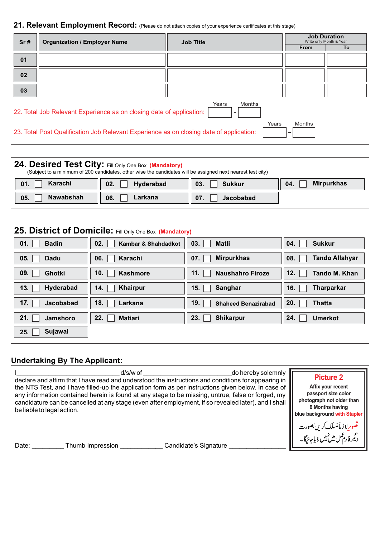| Sr# | <b>Organization / Employer Name</b>                                                     | <b>Job Title</b> | <b>Job Duration</b><br>Write only Month & Year |    |  |
|-----|-----------------------------------------------------------------------------------------|------------------|------------------------------------------------|----|--|
|     |                                                                                         |                  | <b>From</b>                                    | To |  |
| 01  |                                                                                         |                  |                                                |    |  |
| 02  |                                                                                         |                  |                                                |    |  |
| 03  |                                                                                         |                  |                                                |    |  |
|     | 22. Total Job Relevant Experience as on closing date of application:                    | Years<br>Months  |                                                |    |  |
|     | 23. Total Post Qualification Job Relevant Experience as on closing date of application: | Years            | Months                                         |    |  |

| 24. Desired Test City: Fill Only One Box (Mandatory) | (Subject to a minimum of 200 candidates, other wise the candidates will be assigned next nearest test city) |               |                   |
|------------------------------------------------------|-------------------------------------------------------------------------------------------------------------|---------------|-------------------|
| Karachi                                              | Hyderabad                                                                                                   | 03.           | <b>Mirpurkhas</b> |
| 01.                                                  | 02.                                                                                                         | <b>Sukkur</b> | 04.               |
| <b>Nawabshah</b>                                     | 06.                                                                                                         | 07.           |                   |
| 05.                                                  | Larkana                                                                                                     | Jacobabad     |                   |

|                       | 25. District of Domicile: Fill Only One Box (Mandatory) |                            |                       |
|-----------------------|---------------------------------------------------------|----------------------------|-----------------------|
| <b>Badin</b>          | 02.                                                     | 03.                        | 04.                   |
| 01.                   | Kambar & Shahdadkot                                     | <b>Matli</b>               | <b>Sukkur</b>         |
| 05.                   | 06.                                                     | <b>Mirpurkhas</b>          | <b>Tando Allahyar</b> |
| <b>Dadu</b>           | Karachi                                                 | 07.                        | 08.                   |
| 09.                   | 10.                                                     | 11.                        | 12.                   |
| Ghotki                | <b>Kashmore</b>                                         | <b>Naushahro Firoze</b>    | <b>Tando M. Khan</b>  |
| <b>Hyderabad</b>      | <b>Khairpur</b>                                         | Sanghar                    | 16.                   |
| 13.                   | 14.                                                     | 15.                        | <b>Tharparkar</b>     |
| 17.                   | 18.                                                     | 19.                        | 20.                   |
| <b>Jacobabad</b>      | Larkana                                                 | <b>Shaheed Benazirabad</b> | <b>Thatta</b>         |
| 21.                   | 22.                                                     | 23.                        | 24.                   |
| Jamshoro              | <b>Matiari</b>                                          | <b>Shikarpur</b>           | <b>Umerkot</b>        |
| <b>Sujawal</b><br>25. |                                                         |                            |                       |

#### **Undertaking By The Applicant:**

| d/s/w of                                                                                             | <b>Picture 2</b>                                                                    |
|------------------------------------------------------------------------------------------------------|-------------------------------------------------------------------------------------|
| do hereby solemnly                                                                                   | Affix your recent                                                                   |
| declare and affirm that I have read and understood the instructions and conditions for appearing in  | passport size color                                                                 |
| the NTS Test, and I have filled-up the application form as per instructions given below. In case of  | photograph not older than                                                           |
| any information contained herein is found at any stage to be missing, untrue, false or forged, my    | 6 Months having                                                                     |
| candidature can be cancelled at any stage (even after employment, if so revealed later), and I shall | blue background with Stapler                                                        |
| be liable to legal action.                                                                           | موریلا ز مأمنسلک <i>کریں بصور</i> ت<br>یگرفارم <sup>عمل</sup> میں نہیں لا یاجائیگا۔ |
| Candidate's Signature<br>Thumb Impression<br>Date:                                                   |                                                                                     |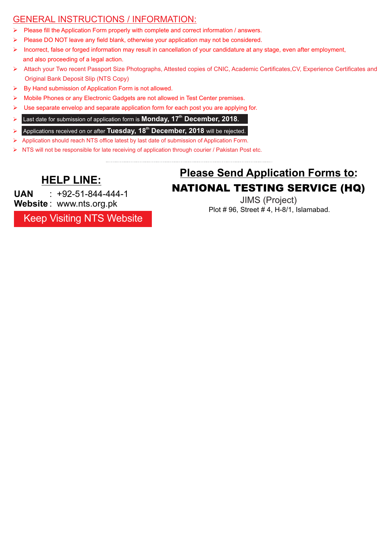### GENERAL INSTRUCTIONS / INFORMATION:

- Please fill the Application Form properly with complete and correct information / answers.
- $\triangleright$  Please DO NOT leave any field blank, otherwise your application may not be considered.
- Incorrect, false or forged information may result in cancellation of your candidature at any stage, even after employment, and also proceeding of a legal action.
- Ø Attach your Two recent Passport Size Photographs, Attested copies of CNIC, Academic Certificates,CV, Experience Certificates and Original Bank Deposit Slip (NTS Copy)
- $\triangleright$  By Hand submission of Application Form is not allowed.
- $\triangleright$  Mobile Phones or any Electronic Gadgets are not allowed in Test Center premises.
- $\triangleright$  Use separate envelop and separate application form for each post you are applying for.
- Ø **Last date for submission of application form is Monday, 17<sup>th</sup> December, 2018.**
- Ø Applications received on or after **Tuesday, 18<sup>th</sup> December, 2018** will be rejected.
- Ø Application should reach NTS office latest by last date of submission of Application Form.
- Ø NTS will not be responsible for late receiving of application through courier / Pakistan Post etc.

JIMS (Project) **UAN Website** : www.nts.org.pk  $\cdot$  +92-51-844-444-1

Keep Visiting NTS Website

# **Please Send Application Forms to: HELP LINE:** NATIONAL TESTING SERVICE (HQ)

Plot # 96, Street # 4, H-8/1, Islamabad.